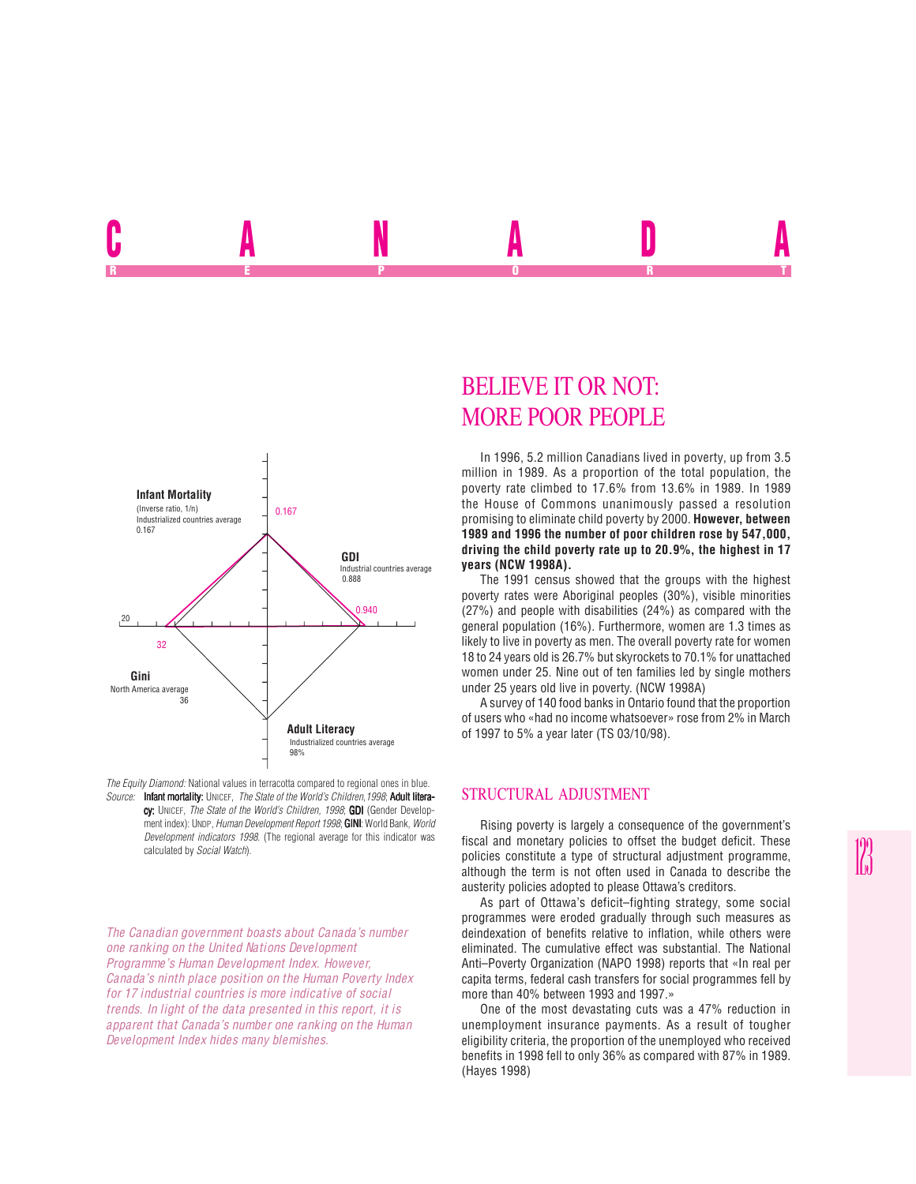



*The Canadian government boasts about Canada's number one ranking on the United Nations Development Programme's Human Development Index. However, Canada's ninth place position on the Human Poverty Index for 17 industrial countries is more indicative of social trends. In light of the data presented in this report, it is apparent that Canada's number one ranking on the Human Development Index hides many blemishes.*

# BELIEVE IT OR NOT: MORE POOR PEOPLE

U ANNA ADA REPORT OF STATE REPORT OF STATE REPORT OF STATE REPORT OF STATE REPORT OF STATE REPORT OF STATE REPORT OF STATE REPORT OF STATE REPORT OF STATE REPORT OF STATE REPORT OF STATE REPORT OF STATE REPORT OF STATE REPORT OF STAT

> In 1996, 5.2 million Canadians lived in poverty, up from 3.5 million in 1989. As a proportion of the total population, the poverty rate climbed to 17.6% from 13.6% in 1989. In 1989 the House of Commons unanimously passed a resolution promising to eliminate child poverty by 2000. **However, between 1989 and 1996 the number of poor children rose by 547,000, driving the child poverty rate up to 20.9%, the highest in 17 years (NCW 1998A).**

> The 1991 census showed that the groups with the highest poverty rates were Aboriginal peoples (30%), visible minorities (27%) and people with disabilities (24%) as compared with the general population (16%). Furthermore, women are 1.3 times as likely to live in poverty as men. The overall poverty rate for women 18 to 24 years old is 26.7% but skyrockets to 70.1% for unattached women under 25. Nine out of ten families led by single mothers under 25 years old live in poverty. (NCW 1998A)

> A survey of 140 food banks in Ontario found that the proportion of users who «had no income whatsoever» rose from 2% in March of 1997 to 5% a year later (TS 03/10/98).

# STRUCTURAL ADJUSTMENT

Rising poverty is largely a consequence of the government's fiscal and monetary policies to offset the budget deficit. These policies constitute a type of structural adjustment programme, although the term is not often used in Canada to describe the austerity policies adopted to please Ottawa's creditors.

As part of Ottawa's deficit–fighting strategy, some social programmes were eroded gradually through such measures as deindexation of benefits relative to inflation, while others were eliminated. The cumulative effect was substantial. The National Anti–Poverty Organization (NAPO 1998) reports that «In real per capita terms, federal cash transfers for social programmes fell by more than 40% between 1993 and 1997.»

One of the most devastating cuts was a 47% reduction in unemployment insurance payments. As a result of tougher eligibility criteria, the proportion of the unemployed who received benefits in 1998 fell to only 36% as compared with 87% in 1989. (Hayes 1998)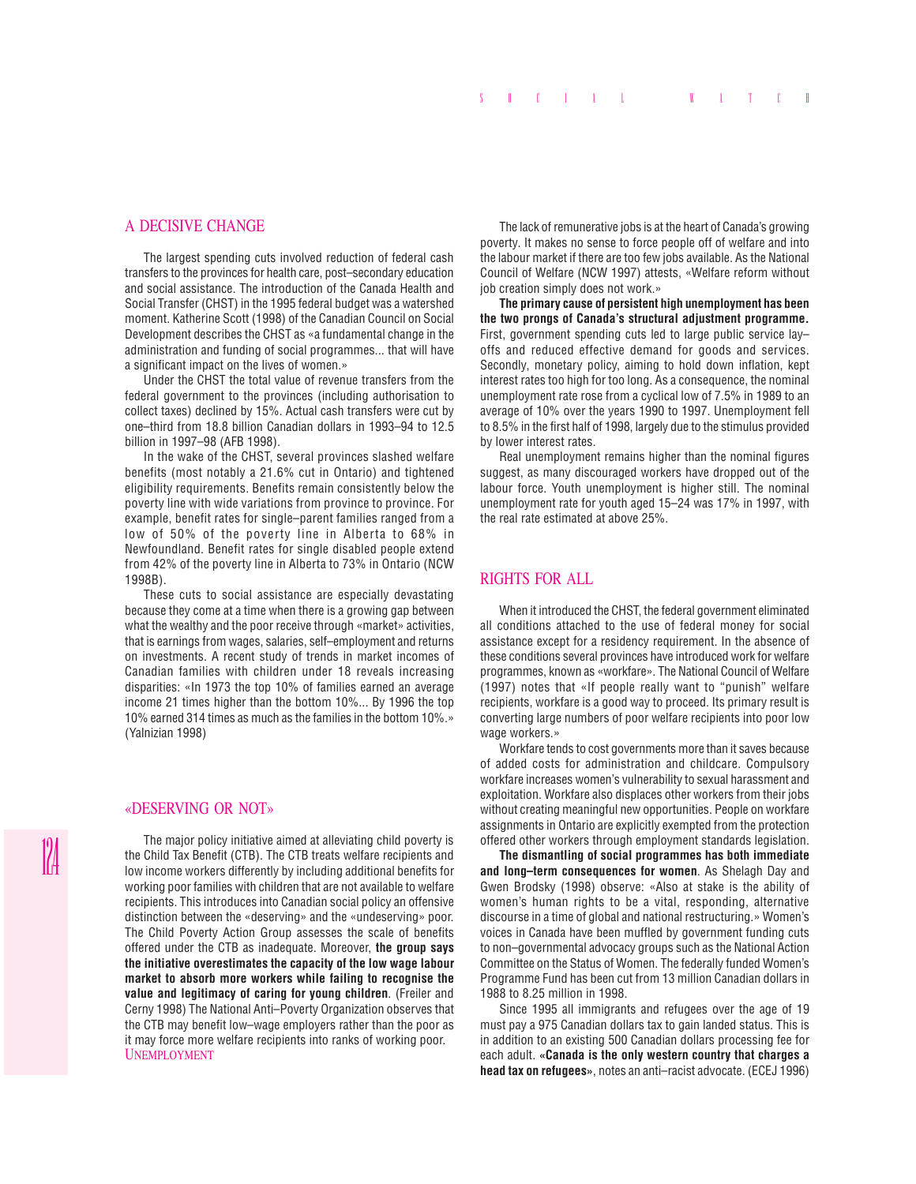### A DECISIVE CHANGE

The largest spending cuts involved reduction of federal cash transfers to the provinces for health care, post–secondary education and social assistance. The introduction of the Canada Health and Social Transfer (CHST) in the 1995 federal budget was a watershed moment. Katherine Scott (1998) of the Canadian Council on Social Development describes the CHST as «a fundamental change in the administration and funding of social programmes... that will have a significant impact on the lives of women.»

Under the CHST the total value of revenue transfers from the federal government to the provinces (including authorisation to collect taxes) declined by 15%. Actual cash transfers were cut by one–third from 18.8 billion Canadian dollars in 1993–94 to 12.5 billion in 1997–98 (AFB 1998).

In the wake of the CHST, several provinces slashed welfare benefits (most notably a 21.6% cut in Ontario) and tightened eligibility requirements. Benefits remain consistently below the poverty line with wide variations from province to province. For example, benefit rates for single–parent families ranged from a low of 50% of the poverty line in Alberta to 68% in Newfoundland. Benefit rates for single disabled people extend from 42% of the poverty line in Alberta to 73% in Ontario (NCW 1998B).

These cuts to social assistance are especially devastating because they come at a time when there is a growing gap between what the wealthy and the poor receive through «market» activities, that is earnings from wages, salaries, self–employment and returns on investments. A recent study of trends in market incomes of Canadian families with children under 18 reveals increasing disparities: «In 1973 the top 10% of families earned an average income 21 times higher than the bottom 10%... By 1996 the top 10% earned 314 times as much as the families in the bottom 10%.» (Yalnizian 1998)

#### «DESERVING OR NOT»

The major policy initiative aimed at alleviating child poverty is the Child Tax Benefit (CTB). The CTB treats welfare recipients and low income workers differently by including additional benefits for working poor families with children that are not available to welfare recipients. This introduces into Canadian social policy an offensive distinction between the «deserving» and the «undeserving» poor. The Child Poverty Action Group assesses the scale of benefits offered under the CTB as inadequate. Moreover, **the group says the initiative overestimates the capacity of the low wage labour market to absorb more workers while failing to recognise the value and legitimacy of caring for young children**. (Freiler and Cerny 1998) The National Anti–Poverty Organization observes that the CTB may benefit low–wage employers rather than the poor as it may force more welfare recipients into ranks of working poor. UNEMPLOYMENT

The lack of remunerative jobs is at the heart of Canada's growing poverty. It makes no sense to force people off of welfare and into the labour market if there are too few jobs available. As the National Council of Welfare (NCW 1997) attests, «Welfare reform without job creation simply does not work.»

**The primary cause of persistent high unemployment has been the two prongs of Canada's structural adjustment programme.** First, government spending cuts led to large public service lay– offs and reduced effective demand for goods and services. Secondly, monetary policy, aiming to hold down inflation, kept interest rates too high for too long. As a consequence, the nominal unemployment rate rose from a cyclical low of 7.5% in 1989 to an average of 10% over the years 1990 to 1997. Unemployment fell to 8.5% in the first half of 1998, largely due to the stimulus provided by lower interest rates.

Real unemployment remains higher than the nominal figures suggest, as many discouraged workers have dropped out of the labour force. Youth unemployment is higher still. The nominal unemployment rate for youth aged 15–24 was 17% in 1997, with the real rate estimated at above 25%.

## RIGHTS FOR ALL

When it introduced the CHST, the federal government eliminated all conditions attached to the use of federal money for social assistance except for a residency requirement. In the absence of these conditions several provinces have introduced work for welfare programmes, known as «workfare». The National Council of Welfare (1997) notes that «If people really want to "punish" welfare recipients, workfare is a good way to proceed. Its primary result is converting large numbers of poor welfare recipients into poor low wage workers.»

Workfare tends to cost governments more than it saves because of added costs for administration and childcare. Compulsory workfare increases women's vulnerability to sexual harassment and exploitation. Workfare also displaces other workers from their jobs without creating meaningful new opportunities. People on workfare assignments in Ontario are explicitly exempted from the protection offered other workers through employment standards legislation.

**The dismantling of social programmes has both immediate and long–term consequences for women**. As Shelagh Day and Gwen Brodsky (1998) observe: «Also at stake is the ability of women's human rights to be a vital, responding, alternative discourse in a time of global and national restructuring.» Women's voices in Canada have been muffled by government funding cuts to non–governmental advocacy groups such as the National Action Committee on the Status of Women. The federally funded Women's Programme Fund has been cut from 13 million Canadian dollars in 1988 to 8.25 million in 1998.

Since 1995 all immigrants and refugees over the age of 19 must pay a 975 Canadian dollars tax to gain landed status. This is in addition to an existing 500 Canadian dollars processing fee for each adult. **«Canada is the only western country that charges a head tax on refugees»**, notes an anti–racist advocate. (ECEJ 1996)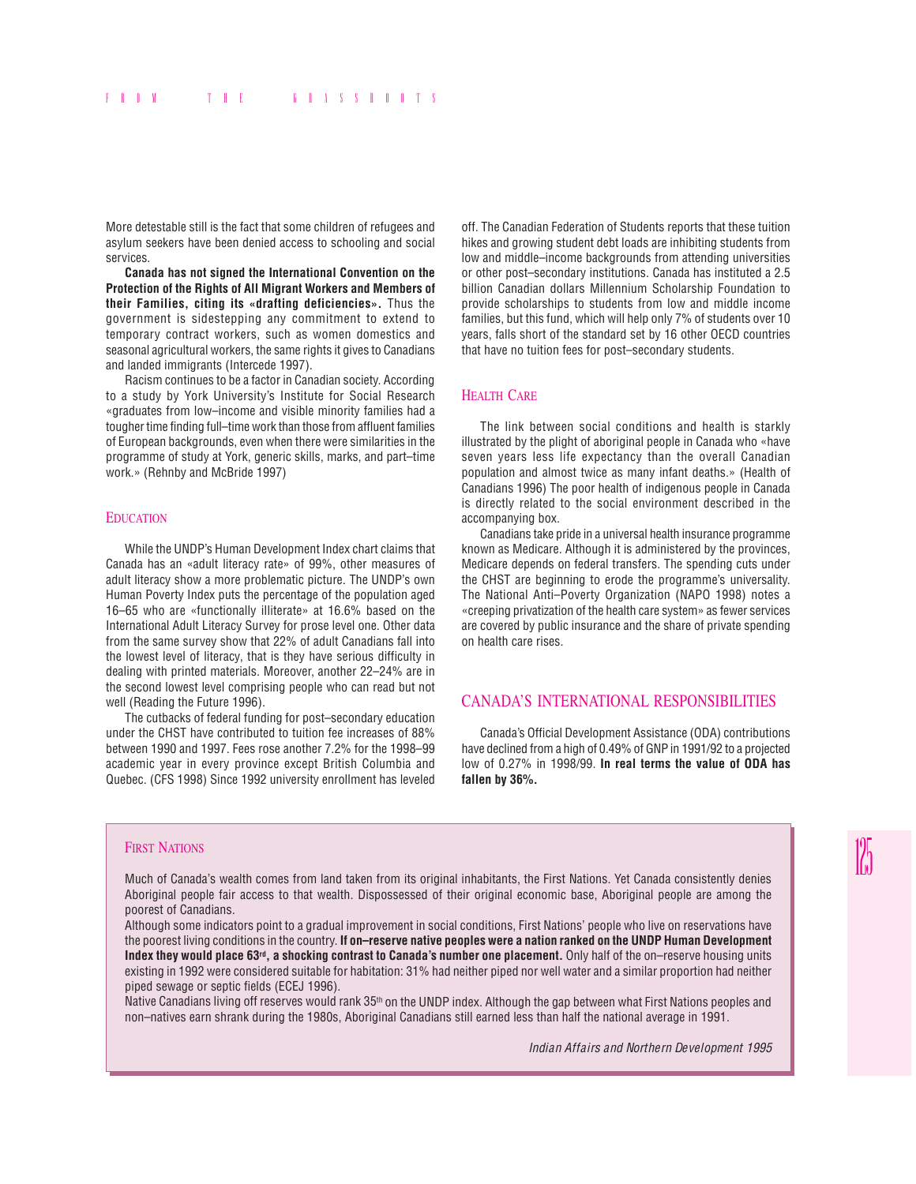More detestable still is the fact that some children of refugees and asylum seekers have been denied access to schooling and social services.

**Canada has not signed the International Convention on the Protection of the Rights of All Migrant Workers and Members of their Families, citing its «drafting deficiencies».** Thus the government is sidestepping any commitment to extend to temporary contract workers, such as women domestics and seasonal agricultural workers, the same rights it gives to Canadians and landed immigrants (Intercede 1997).

Racism continues to be a factor in Canadian society. According to a study by York University's Institute for Social Research «graduates from low–income and visible minority families had a tougher time finding full–time work than those from affluent families of European backgrounds, even when there were similarities in the programme of study at York, generic skills, marks, and part–time work.» (Rehnby and McBride 1997)

### **EDUCATION**

While the UNDP's Human Development Index chart claims that Canada has an «adult literacy rate» of 99%, other measures of adult literacy show a more problematic picture. The UNDP's own Human Poverty Index puts the percentage of the population aged 16–65 who are «functionally illiterate» at 16.6% based on the International Adult Literacy Survey for prose level one. Other data from the same survey show that 22% of adult Canadians fall into the lowest level of literacy, that is they have serious difficulty in dealing with printed materials. Moreover, another 22–24% are in the second lowest level comprising people who can read but not well (Reading the Future 1996).

The cutbacks of federal funding for post–secondary education under the CHST have contributed to tuition fee increases of 88% between 1990 and 1997. Fees rose another 7.2% for the 1998–99 academic year in every province except British Columbia and Quebec. (CFS 1998) Since 1992 university enrollment has leveled

off. The Canadian Federation of Students reports that these tuition hikes and growing student debt loads are inhibiting students from low and middle–income backgrounds from attending universities or other post–secondary institutions. Canada has instituted a 2.5 billion Canadian dollars Millennium Scholarship Foundation to provide scholarships to students from low and middle income families, but this fund, which will help only 7% of students over 10 years, falls short of the standard set by 16 other OECD countries that have no tuition fees for post–secondary students.

## **HEALTH CARE**

The link between social conditions and health is starkly illustrated by the plight of aboriginal people in Canada who «have seven years less life expectancy than the overall Canadian population and almost twice as many infant deaths.» (Health of Canadians 1996) The poor health of indigenous people in Canada is directly related to the social environment described in the accompanying box.

Canadians take pride in a universal health insurance programme known as Medicare. Although it is administered by the provinces, Medicare depends on federal transfers. The spending cuts under the CHST are beginning to erode the programme's universality. The National Anti–Poverty Organization (NAPO 1998) notes a «creeping privatization of the health care system» as fewer services are covered by public insurance and the share of private spending on health care rises.

# CANADA'S INTERNATIONAL RESPONSIBILITIES

Canada's Official Development Assistance (ODA) contributions have declined from a high of 0.49% of GNP in 1991/92 to a projected low of 0.27% in 1998/99. **In real terms the value of ODA has fallen by 36%.**

#### FIRST NATIONS

Much of Canada's wealth comes from land taken from its original inhabitants, the First Nations. Yet Canada consistently denies Aboriginal people fair access to that wealth. Dispossessed of their original economic base, Aboriginal people are among the poorest of Canadians.

Although some indicators point to a gradual improvement in social conditions, First Nations' people who live on reservations have the poorest living conditions in the country. **If on–reserve native peoples were a nation ranked on the UNDP Human Development Index they would place 63rd, a shocking contrast to Canada's number one placement.** Only half of the on–reserve housing units existing in 1992 were considered suitable for habitation: 31% had neither piped nor well water and a similar proportion had neither piped sewage or septic fields (ECEJ 1996).

Native Canadians living off reserves would rank 35<sup>th</sup> on the UNDP index. Although the gap between what First Nations peoples and non–natives earn shrank during the 1980s, Aboriginal Canadians still earned less than half the national average in 1991.

*Indian Affairs and Northern Development 1995*